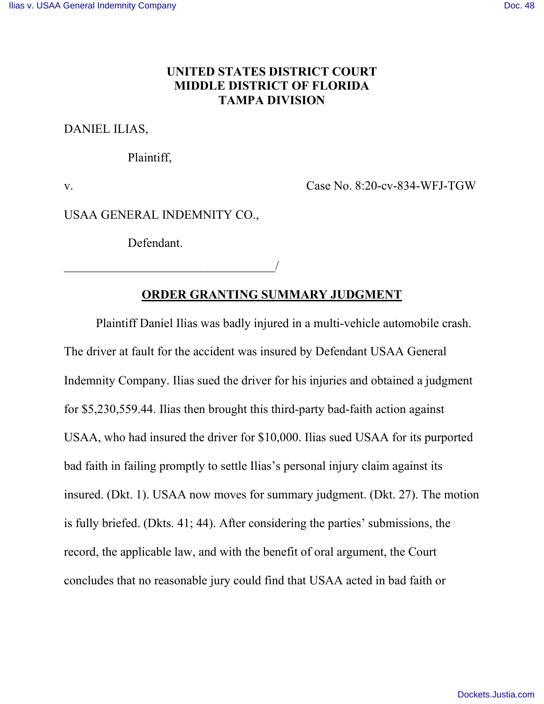## **UNITED STATES DISTRICT COURT MIDDLE DISTRICT OF FLORIDA TAMPA DIVISION**

### DANIEL ILIAS,

Plaintiff,

v. Case No. 8:20-cv-834-WFJ-TGW

USAA GENERAL INDEMNITY CO.,

Defendant.

\_\_\_\_\_\_\_\_\_\_\_\_\_\_\_\_\_\_\_\_\_\_\_\_\_\_\_\_\_\_\_\_\_\_/

## **ORDER GRANTING SUMMARY JUDGMENT**

Plaintiff Daniel Ilias was badly injured in a multi-vehicle automobile crash. The driver at fault for the accident was insured by Defendant USAA General Indemnity Company. Ilias sued the driver for his injuries and obtained a judgment for \$5,230,559.44. Ilias then brought this third-party bad-faith action against USAA, who had insured the driver for \$10,000. Ilias sued USAA for its purported bad faith in failing promptly to settle Ilias's personal injury claim against its insured. (Dkt. 1). USAA now moves for summary judgment. (Dkt. 27). The motion is fully briefed. (Dkts. 41; 44). After considering the parties' submissions, the record, the applicable law, and with the benefit of oral argument, the Court concludes that no reasonable jury could find that USAA acted in bad faith or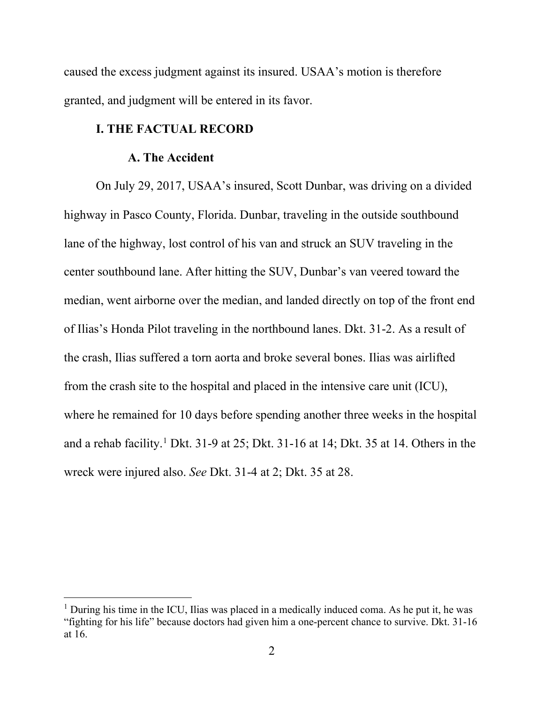caused the excess judgment against its insured. USAA's motion is therefore granted, and judgment will be entered in its favor.

### **I. THE FACTUAL RECORD**

### **A. The Accident**

On July 29, 2017, USAA's insured, Scott Dunbar, was driving on a divided highway in Pasco County, Florida. Dunbar, traveling in the outside southbound lane of the highway, lost control of his van and struck an SUV traveling in the center southbound lane. After hitting the SUV, Dunbar's van veered toward the median, went airborne over the median, and landed directly on top of the front end of Ilias's Honda Pilot traveling in the northbound lanes. Dkt. 31-2. As a result of the crash, Ilias suffered a torn aorta and broke several bones. Ilias was airlifted from the crash site to the hospital and placed in the intensive care unit (ICU), where he remained for 10 days before spending another three weeks in the hospital and a rehab facility. [1](#page-1-0) Dkt. 31-9 at 25; Dkt. 31-16 at 14; Dkt. 35 at 14. Others in the wreck were injured also. *See* Dkt. 31-4 at 2; Dkt. 35 at 28.

<span id="page-1-0"></span><sup>&</sup>lt;sup>1</sup> During his time in the ICU, Ilias was placed in a medically induced coma. As he put it, he was "fighting for his life" because doctors had given him a one-percent chance to survive. Dkt. 31-16 at 16.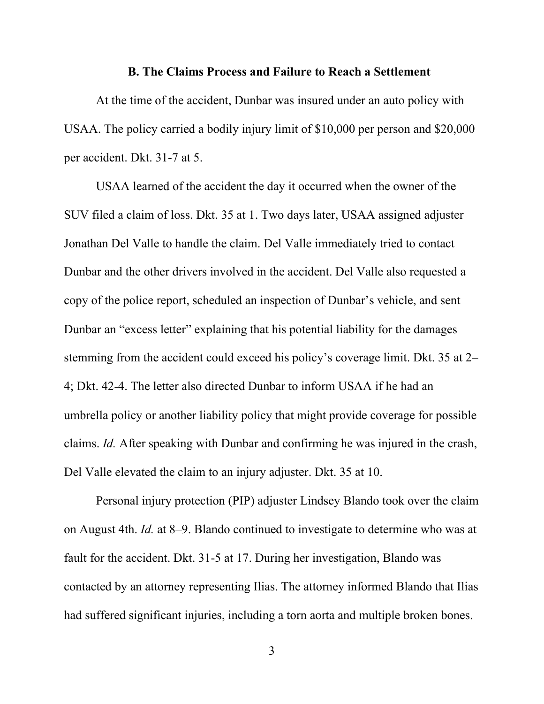#### **B. The Claims Process and Failure to Reach a Settlement**

At the time of the accident, Dunbar was insured under an auto policy with USAA. The policy carried a bodily injury limit of \$10,000 per person and \$20,000 per accident. Dkt. 31-7 at 5.

USAA learned of the accident the day it occurred when the owner of the SUV filed a claim of loss. Dkt. 35 at 1. Two days later, USAA assigned adjuster Jonathan Del Valle to handle the claim. Del Valle immediately tried to contact Dunbar and the other drivers involved in the accident. Del Valle also requested a copy of the police report, scheduled an inspection of Dunbar's vehicle, and sent Dunbar an "excess letter" explaining that his potential liability for the damages stemming from the accident could exceed his policy's coverage limit. Dkt. 35 at 2– 4; Dkt. 42-4. The letter also directed Dunbar to inform USAA if he had an umbrella policy or another liability policy that might provide coverage for possible claims. *Id.* After speaking with Dunbar and confirming he was injured in the crash, Del Valle elevated the claim to an injury adjuster. Dkt. 35 at 10.

 Personal injury protection (PIP) adjuster Lindsey Blando took over the claim on August 4th. *Id.* at 8–9. Blando continued to investigate to determine who was at fault for the accident. Dkt. 31-5 at 17. During her investigation, Blando was contacted by an attorney representing Ilias. The attorney informed Blando that Ilias had suffered significant injuries, including a torn aorta and multiple broken bones.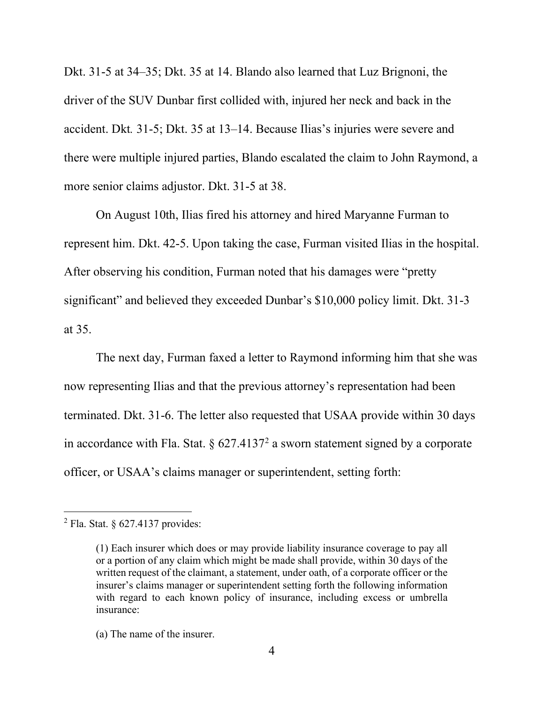Dkt. 31-5 at 34–35; Dkt. 35 at 14. Blando also learned that Luz Brignoni, the driver of the SUV Dunbar first collided with, injured her neck and back in the accident. Dkt*.* 31-5; Dkt. 35 at 13–14. Because Ilias's injuries were severe and there were multiple injured parties, Blando escalated the claim to John Raymond, a more senior claims adjustor. Dkt. 31-5 at 38.

On August 10th, Ilias fired his attorney and hired Maryanne Furman to represent him. Dkt. 42-5. Upon taking the case, Furman visited Ilias in the hospital. After observing his condition, Furman noted that his damages were "pretty significant" and believed they exceeded Dunbar's \$10,000 policy limit. Dkt. 31-3 at 35.

The next day, Furman faxed a letter to Raymond informing him that she was now representing Ilias and that the previous attorney's representation had been terminated. Dkt. 31-6. The letter also requested that USAA provide within 30 days in accordance with Fla. Stat.  $\S 627.4137<sup>2</sup>$  $\S 627.4137<sup>2</sup>$  $\S 627.4137<sup>2</sup>$  a sworn statement signed by a corporate officer, or USAA's claims manager or superintendent, setting forth:

<span id="page-3-0"></span> $2$  Fla. Stat. § 627.4137 provides:

<sup>(1)</sup> Each insurer which does or may provide liability insurance coverage to pay all or a portion of any claim which might be made shall provide, within 30 days of the written request of the claimant, a statement, under oath, of a corporate officer or the insurer's claims manager or superintendent setting forth the following information with regard to each known policy of insurance, including excess or umbrella insurance:

<sup>(</sup>a) The name of the insurer.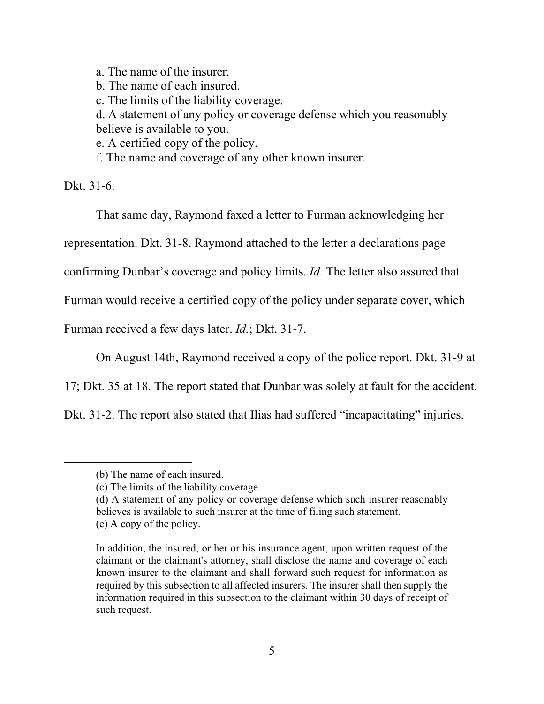a. The name of the insurer. b. The name of each insured. c. The limits of the liability coverage. d. A statement of any policy or coverage defense which you reasonably believe is available to you. e. A certified copy of the policy. f. The name and coverage of any other known insurer.

Dkt. 31-6.

That same day, Raymond faxed a letter to Furman acknowledging her

representation. Dkt. 31-8. Raymond attached to the letter a declarations page

confirming Dunbar's coverage and policy limits. *Id.* The letter also assured that

Furman would receive a certified copy of the policy under separate cover, which

Furman received a few days later. *Id.*; Dkt. 31-7.

On August 14th, Raymond received a copy of the police report. Dkt. 31-9 at

17; Dkt. 35 at 18. The report stated that Dunbar was solely at fault for the accident.

Dkt. 31-2. The report also stated that Ilias had suffered "incapacitating" injuries.

(d) A statement of any policy or coverage defense which such insurer reasonably believes is available to such insurer at the time of filing such statement.

<sup>(</sup>b) The name of each insured.

<sup>(</sup>c) The limits of the liability coverage.

<sup>(</sup>e) A copy of the policy.

In addition, the insured, or her or his insurance agent, upon written request of the claimant or the claimant's attorney, shall disclose the name and coverage of each known insurer to the claimant and shall forward such request for information as required by this subsection to all affected insurers. The insurer shall then supply the information required in this subsection to the claimant within 30 days of receipt of such request.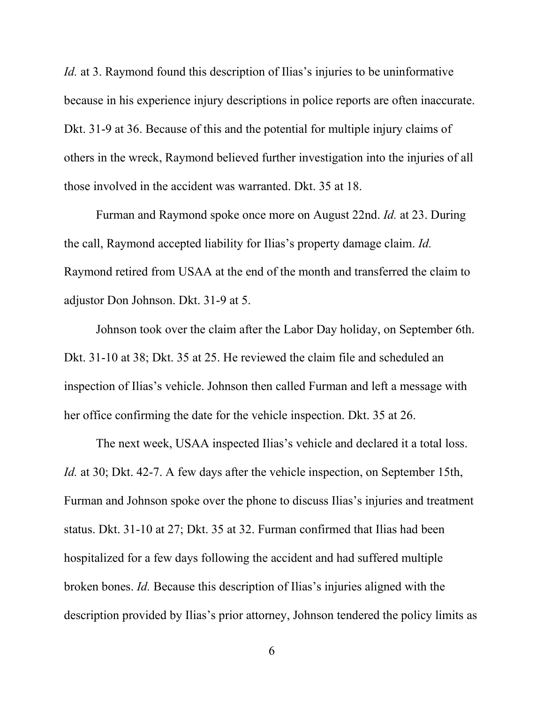*Id.* at 3. Raymond found this description of Ilias's injuries to be uninformative because in his experience injury descriptions in police reports are often inaccurate. Dkt. 31-9 at 36. Because of this and the potential for multiple injury claims of others in the wreck, Raymond believed further investigation into the injuries of all those involved in the accident was warranted. Dkt. 35 at 18.

Furman and Raymond spoke once more on August 22nd. *Id.* at 23. During the call, Raymond accepted liability for Ilias's property damage claim. *Id.* Raymond retired from USAA at the end of the month and transferred the claim to adjustor Don Johnson. Dkt. 31-9 at 5.

Johnson took over the claim after the Labor Day holiday, on September 6th. Dkt. 31-10 at 38; Dkt. 35 at 25. He reviewed the claim file and scheduled an inspection of Ilias's vehicle. Johnson then called Furman and left a message with her office confirming the date for the vehicle inspection. Dkt. 35 at 26.

The next week, USAA inspected Ilias's vehicle and declared it a total loss. *Id.* at 30; Dkt. 42-7. A few days after the vehicle inspection, on September 15th, Furman and Johnson spoke over the phone to discuss Ilias's injuries and treatment status. Dkt. 31-10 at 27; Dkt. 35 at 32. Furman confirmed that Ilias had been hospitalized for a few days following the accident and had suffered multiple broken bones. *Id.* Because this description of Ilias's injuries aligned with the description provided by Ilias's prior attorney, Johnson tendered the policy limits as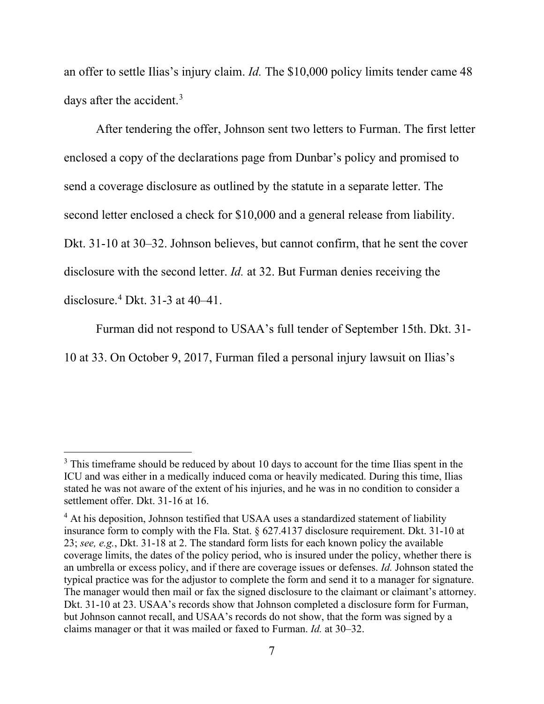an offer to settle Ilias's injury claim. *Id.* The \$10,000 policy limits tender came 48 days after the accident.<sup>[3](#page-6-0)</sup>

After tendering the offer, Johnson sent two letters to Furman. The first letter enclosed a copy of the declarations page from Dunbar's policy and promised to send a coverage disclosure as outlined by the statute in a separate letter. The second letter enclosed a check for \$10,000 and a general release from liability. Dkt. 31-10 at 30–32. Johnson believes, but cannot confirm, that he sent the cover disclosure with the second letter. *Id.* at 32. But Furman denies receiving the disclosure. [4](#page-6-1) Dkt. 31-3 at 40–41.

Furman did not respond to USAA's full tender of September 15th. Dkt. 31- 10 at 33. On October 9, 2017, Furman filed a personal injury lawsuit on Ilias's

<span id="page-6-0"></span> $3$  This timeframe should be reduced by about 10 days to account for the time Ilias spent in the ICU and was either in a medically induced coma or heavily medicated. During this time, Ilias stated he was not aware of the extent of his injuries, and he was in no condition to consider a settlement offer. Dkt. 31-16 at 16.

<span id="page-6-1"></span><sup>&</sup>lt;sup>4</sup> At his deposition, Johnson testified that USAA uses a standardized statement of liability insurance form to comply with the Fla. Stat. § 627.4137 disclosure requirement. Dkt. 31-10 at 23; *see, e.g.*, Dkt. 31-18 at 2. The standard form lists for each known policy the available coverage limits, the dates of the policy period, who is insured under the policy, whether there is an umbrella or excess policy, and if there are coverage issues or defenses. *Id.* Johnson stated the typical practice was for the adjustor to complete the form and send it to a manager for signature. The manager would then mail or fax the signed disclosure to the claimant or claimant's attorney. Dkt. 31-10 at 23. USAA's records show that Johnson completed a disclosure form for Furman, but Johnson cannot recall, and USAA's records do not show, that the form was signed by a claims manager or that it was mailed or faxed to Furman. *Id.* at 30–32.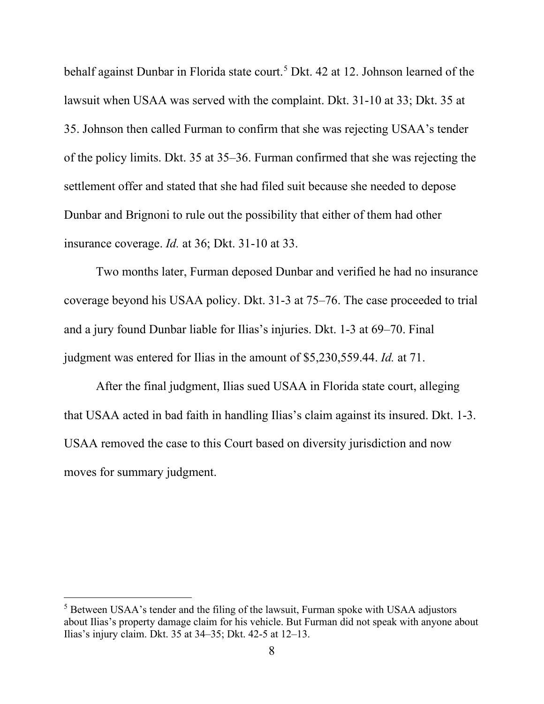behalf against Dunbar in Florida state court.<sup>[5](#page-7-0)</sup> Dkt. 42 at 12. Johnson learned of the lawsuit when USAA was served with the complaint. Dkt. 31-10 at 33; Dkt. 35 at 35. Johnson then called Furman to confirm that she was rejecting USAA's tender of the policy limits. Dkt. 35 at 35–36. Furman confirmed that she was rejecting the settlement offer and stated that she had filed suit because she needed to depose Dunbar and Brignoni to rule out the possibility that either of them had other insurance coverage. *Id.* at 36; Dkt. 31-10 at 33.

Two months later, Furman deposed Dunbar and verified he had no insurance coverage beyond his USAA policy. Dkt. 31-3 at 75–76. The case proceeded to trial and a jury found Dunbar liable for Ilias's injuries. Dkt. 1-3 at 69–70. Final judgment was entered for Ilias in the amount of \$5,230,559.44. *Id.* at 71.

After the final judgment, Ilias sued USAA in Florida state court, alleging that USAA acted in bad faith in handling Ilias's claim against its insured. Dkt. 1-3. USAA removed the case to this Court based on diversity jurisdiction and now moves for summary judgment.

<span id="page-7-0"></span><sup>&</sup>lt;sup>5</sup> Between USAA's tender and the filing of the lawsuit, Furman spoke with USAA adjustors about Ilias's property damage claim for his vehicle. But Furman did not speak with anyone about Ilias's injury claim. Dkt. 35 at 34–35; Dkt. 42-5 at 12–13.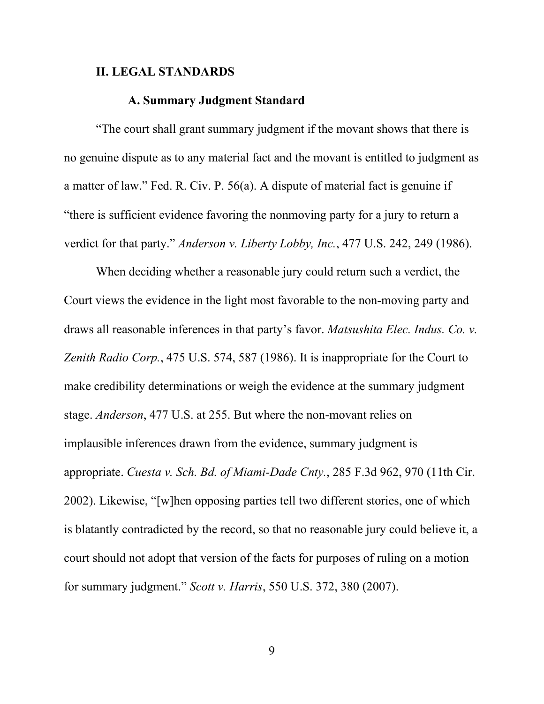### **II. LEGAL STANDARDS**

#### **A. Summary Judgment Standard**

"The court shall grant summary judgment if the movant shows that there is no genuine dispute as to any material fact and the movant is entitled to judgment as a matter of law." Fed. R. Civ. P. 56(a). A dispute of material fact is genuine if "there is sufficient evidence favoring the nonmoving party for a jury to return a verdict for that party." *Anderson v. Liberty Lobby, Inc.*, 477 U.S. 242, 249 (1986).

When deciding whether a reasonable jury could return such a verdict, the Court views the evidence in the light most favorable to the non-moving party and draws all reasonable inferences in that party's favor. *Matsushita Elec. Indus. Co. v. Zenith Radio Corp.*, 475 U.S. 574, 587 (1986). It is inappropriate for the Court to make credibility determinations or weigh the evidence at the summary judgment stage. *Anderson*, 477 U.S. at 255. But where the non-movant relies on implausible inferences drawn from the evidence, summary judgment is appropriate. *Cuesta v. Sch. Bd. of Miami-Dade Cnty.*, 285 F.3d 962, 970 (11th Cir. 2002). Likewise, "[w]hen opposing parties tell two different stories, one of which is blatantly contradicted by the record, so that no reasonable jury could believe it, a court should not adopt that version of the facts for purposes of ruling on a motion for summary judgment." *Scott v. Harris*, 550 U.S. 372, 380 (2007).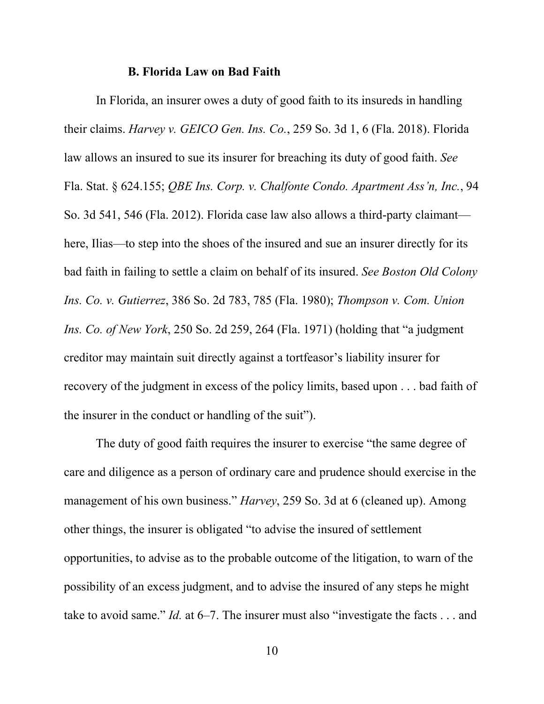#### **B. Florida Law on Bad Faith**

In Florida, an insurer owes a duty of good faith to its insureds in handling their claims. *Harvey v. GEICO Gen. Ins. Co.*, 259 So. 3d 1, 6 (Fla. 2018). Florida law allows an insured to sue its insurer for breaching its duty of good faith. *See*  Fla. Stat. § 624.155; *QBE Ins. Corp. v. Chalfonte Condo. Apartment Ass'n, Inc.*, 94 So. 3d 541, 546 (Fla. 2012). Florida case law also allows a third-party claimant here, Ilias—to step into the shoes of the insured and sue an insurer directly for its bad faith in failing to settle a claim on behalf of its insured. *See Boston Old Colony Ins. Co. v. Gutierrez*, 386 So. 2d 783, 785 (Fla. 1980); *Thompson v. Com. Union Ins. Co. of New York*, 250 So. 2d 259, 264 (Fla. 1971) (holding that "a judgment creditor may maintain suit directly against a tortfeasor's liability insurer for recovery of the judgment in excess of the policy limits, based upon . . . bad faith of the insurer in the conduct or handling of the suit").

The duty of good faith requires the insurer to exercise "the same degree of care and diligence as a person of ordinary care and prudence should exercise in the management of his own business." *Harvey*, 259 So. 3d at 6 (cleaned up). Among other things, the insurer is obligated "to advise the insured of settlement opportunities, to advise as to the probable outcome of the litigation, to warn of the possibility of an excess judgment, and to advise the insured of any steps he might take to avoid same." *Id.* at 6–7. The insurer must also "investigate the facts . . . and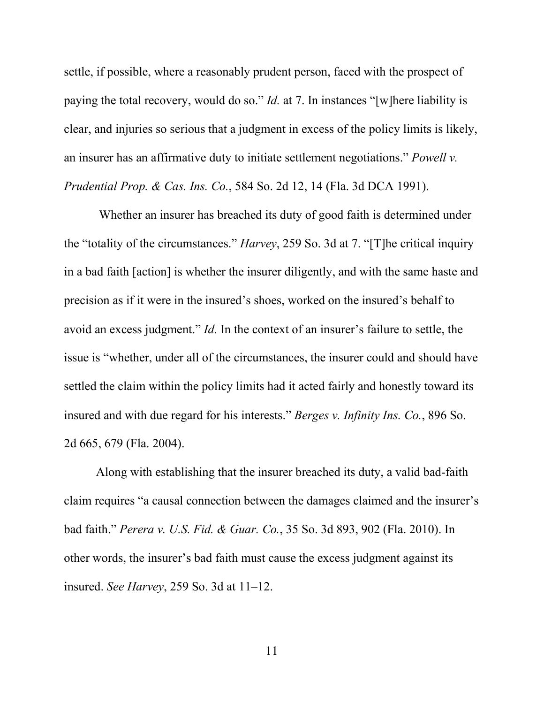settle, if possible, where a reasonably prudent person, faced with the prospect of paying the total recovery, would do so." *Id.* at 7. In instances "[w]here liability is clear, and injuries so serious that a judgment in excess of the policy limits is likely, an insurer has an affirmative duty to initiate settlement negotiations." *Powell v. Prudential Prop. & Cas. Ins. Co.*, 584 So. 2d 12, 14 (Fla. 3d DCA 1991).

 Whether an insurer has breached its duty of good faith is determined under the "totality of the circumstances." *Harvey*, 259 So. 3d at 7. "[T]he critical inquiry in a bad faith [action] is whether the insurer diligently, and with the same haste and precision as if it were in the insured's shoes, worked on the insured's behalf to avoid an excess judgment." *Id.* In the context of an insurer's failure to settle, the issue is "whether, under all of the circumstances, the insurer could and should have settled the claim within the policy limits had it acted fairly and honestly toward its insured and with due regard for his interests." *Berges v. Infinity Ins. Co.*, 896 So. 2d 665, 679 (Fla. 2004).

Along with establishing that the insurer breached its duty, a valid bad-faith claim requires "a causal connection between the damages claimed and the insurer's bad faith." *Perera v. U.S. Fid. & Guar. Co.*, 35 So. 3d 893, 902 (Fla. 2010). In other words, the insurer's bad faith must cause the excess judgment against its insured. *See Harvey*, 259 So. 3d at 11–12.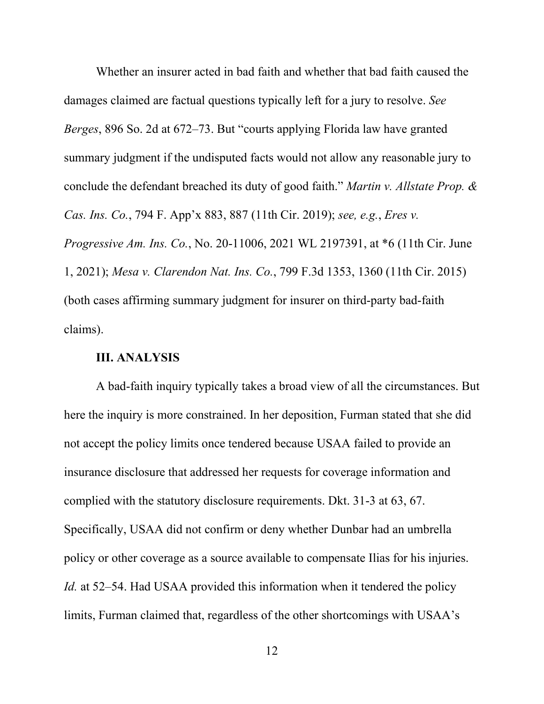Whether an insurer acted in bad faith and whether that bad faith caused the damages claimed are factual questions typically left for a jury to resolve. *See Berges*, 896 So. 2d at 672–73. But "courts applying Florida law have granted summary judgment if the undisputed facts would not allow any reasonable jury to conclude the defendant breached its duty of good faith." *Martin v. Allstate Prop. & Cas. Ins. Co.*, 794 F. App'x 883, 887 (11th Cir. 2019); *see, e.g.*, *Eres v. Progressive Am. Ins. Co.*, No. 20-11006, 2021 WL 2197391, at \*6 (11th Cir. June 1, 2021); *Mesa v. Clarendon Nat. Ins. Co.*, 799 F.3d 1353, 1360 (11th Cir. 2015) (both cases affirming summary judgment for insurer on third-party bad-faith claims).

#### **III. ANALYSIS**

A bad-faith inquiry typically takes a broad view of all the circumstances. But here the inquiry is more constrained. In her deposition, Furman stated that she did not accept the policy limits once tendered because USAA failed to provide an insurance disclosure that addressed her requests for coverage information and complied with the statutory disclosure requirements. Dkt. 31-3 at 63, 67. Specifically, USAA did not confirm or deny whether Dunbar had an umbrella policy or other coverage as a source available to compensate Ilias for his injuries. *Id.* at 52–54. Had USAA provided this information when it tendered the policy limits, Furman claimed that, regardless of the other shortcomings with USAA's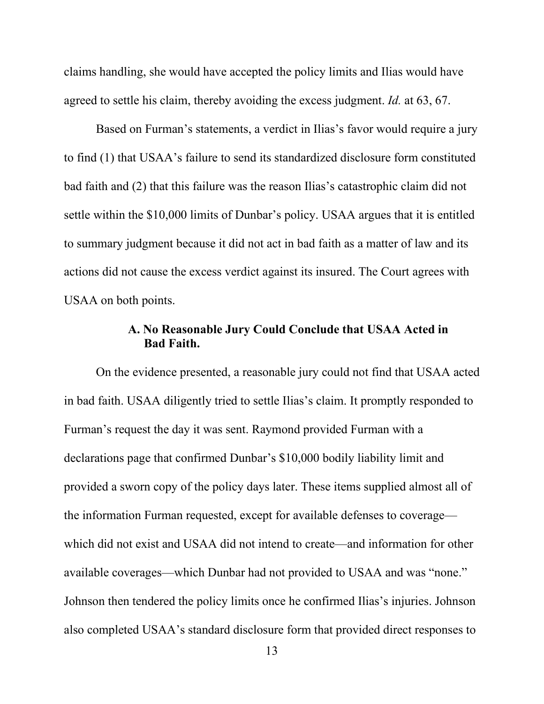claims handling, she would have accepted the policy limits and Ilias would have agreed to settle his claim, thereby avoiding the excess judgment. *Id.* at 63, 67.

 Based on Furman's statements, a verdict in Ilias's favor would require a jury to find (1) that USAA's failure to send its standardized disclosure form constituted bad faith and (2) that this failure was the reason Ilias's catastrophic claim did not settle within the \$10,000 limits of Dunbar's policy. USAA argues that it is entitled to summary judgment because it did not act in bad faith as a matter of law and its actions did not cause the excess verdict against its insured. The Court agrees with USAA on both points.

# **A. No Reasonable Jury Could Conclude that USAA Acted in Bad Faith.**

On the evidence presented, a reasonable jury could not find that USAA acted in bad faith. USAA diligently tried to settle Ilias's claim. It promptly responded to Furman's request the day it was sent. Raymond provided Furman with a declarations page that confirmed Dunbar's \$10,000 bodily liability limit and provided a sworn copy of the policy days later. These items supplied almost all of the information Furman requested, except for available defenses to coverage which did not exist and USAA did not intend to create—and information for other available coverages—which Dunbar had not provided to USAA and was "none." Johnson then tendered the policy limits once he confirmed Ilias's injuries. Johnson also completed USAA's standard disclosure form that provided direct responses to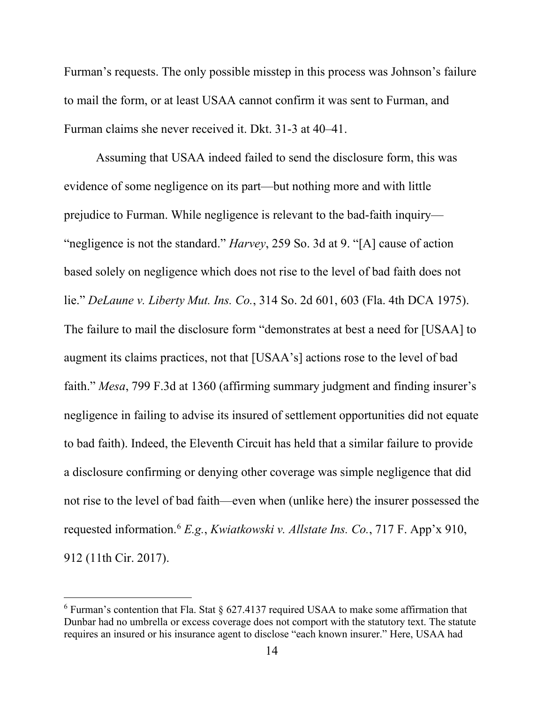Furman's requests. The only possible misstep in this process was Johnson's failure to mail the form, or at least USAA cannot confirm it was sent to Furman, and Furman claims she never received it. Dkt. 31-3 at 40–41.

Assuming that USAA indeed failed to send the disclosure form, this was evidence of some negligence on its part—but nothing more and with little prejudice to Furman. While negligence is relevant to the bad-faith inquiry— "negligence is not the standard." *Harvey*, 259 So. 3d at 9. "[A] cause of action based solely on negligence which does not rise to the level of bad faith does not lie." *DeLaune v. Liberty Mut. Ins. Co.*, 314 So. 2d 601, 603 (Fla. 4th DCA 1975). The failure to mail the disclosure form "demonstrates at best a need for [USAA] to augment its claims practices, not that [USAA's] actions rose to the level of bad faith." *Mesa*, 799 F.3d at 1360 (affirming summary judgment and finding insurer's negligence in failing to advise its insured of settlement opportunities did not equate to bad faith). Indeed, the Eleventh Circuit has held that a similar failure to provide a disclosure confirming or denying other coverage was simple negligence that did not rise to the level of bad faith—even when (unlike here) the insurer possessed the requested information. [6](#page-13-0) *E.g.*, *Kwiatkowski v. Allstate Ins. Co.*, 717 F. App'x 910, 912 (11th Cir. 2017).

<span id="page-13-0"></span> $6$  Furman's contention that Fla. Stat  $\S$  627.4137 required USAA to make some affirmation that Dunbar had no umbrella or excess coverage does not comport with the statutory text. The statute requires an insured or his insurance agent to disclose "each known insurer." Here, USAA had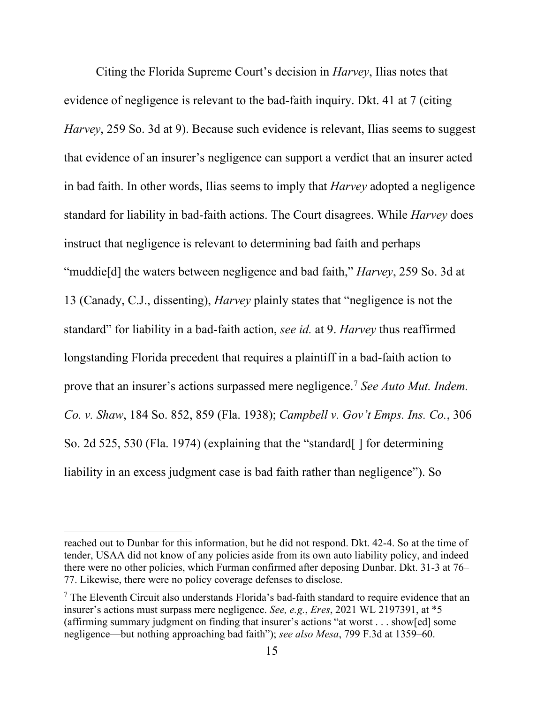Citing the Florida Supreme Court's decision in *Harvey*, Ilias notes that evidence of negligence is relevant to the bad-faith inquiry. Dkt. 41 at 7 (citing *Harvey*, 259 So. 3d at 9). Because such evidence is relevant, Ilias seems to suggest that evidence of an insurer's negligence can support a verdict that an insurer acted in bad faith. In other words, Ilias seems to imply that *Harvey* adopted a negligence standard for liability in bad-faith actions. The Court disagrees. While *Harvey* does instruct that negligence is relevant to determining bad faith and perhaps "muddie[d] the waters between negligence and bad faith," *Harvey*, 259 So. 3d at 13 (Canady, C.J., dissenting), *Harvey* plainly states that "negligence is not the standard" for liability in a bad-faith action, *see id.* at 9. *Harvey* thus reaffirmed longstanding Florida precedent that requires a plaintiff in a bad-faith action to prove that an insurer's actions surpassed mere negligence. [7](#page-14-0) *See Auto Mut. Indem. Co. v. Shaw*, 184 So. 852, 859 (Fla. 1938); *Campbell v. Gov't Emps. Ins. Co.*, 306 So. 2d 525, 530 (Fla. 1974) (explaining that the "standard[ ] for determining liability in an excess judgment case is bad faith rather than negligence"). So

reached out to Dunbar for this information, but he did not respond. Dkt. 42-4. So at the time of tender, USAA did not know of any policies aside from its own auto liability policy, and indeed there were no other policies, which Furman confirmed after deposing Dunbar. Dkt. 31-3 at 76– 77. Likewise, there were no policy coverage defenses to disclose.

<span id="page-14-0"></span> $<sup>7</sup>$  The Eleventh Circuit also understands Florida's bad-faith standard to require evidence that an</sup> insurer's actions must surpass mere negligence. *See, e.g.*, *Eres*, 2021 WL 2197391, at \*5 (affirming summary judgment on finding that insurer's actions "at worst . . . show[ed] some negligence—but nothing approaching bad faith"); *see also Mesa*, 799 F.3d at 1359–60.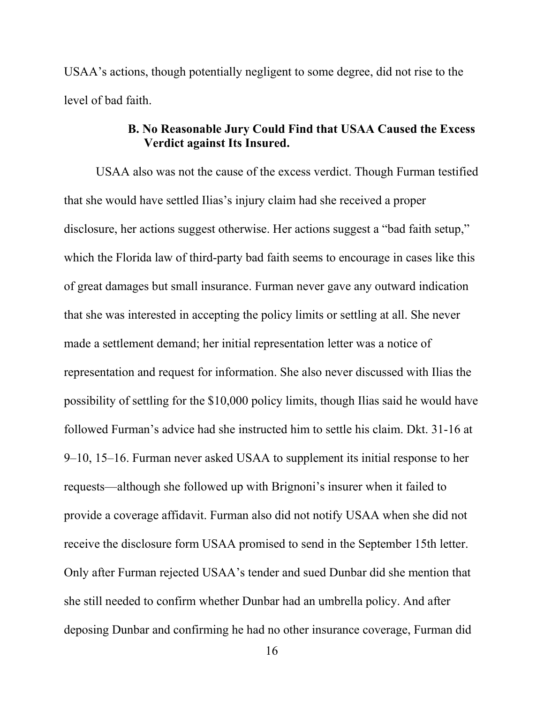USAA's actions, though potentially negligent to some degree, did not rise to the level of bad faith.

# **B. No Reasonable Jury Could Find that USAA Caused the Excess Verdict against Its Insured.**

USAA also was not the cause of the excess verdict. Though Furman testified that she would have settled Ilias's injury claim had she received a proper disclosure, her actions suggest otherwise. Her actions suggest a "bad faith setup," which the Florida law of third-party bad faith seems to encourage in cases like this of great damages but small insurance. Furman never gave any outward indication that she was interested in accepting the policy limits or settling at all. She never made a settlement demand; her initial representation letter was a notice of representation and request for information. She also never discussed with Ilias the possibility of settling for the \$10,000 policy limits, though Ilias said he would have followed Furman's advice had she instructed him to settle his claim. Dkt. 31-16 at 9–10, 15–16. Furman never asked USAA to supplement its initial response to her requests—although she followed up with Brignoni's insurer when it failed to provide a coverage affidavit. Furman also did not notify USAA when she did not receive the disclosure form USAA promised to send in the September 15th letter. Only after Furman rejected USAA's tender and sued Dunbar did she mention that she still needed to confirm whether Dunbar had an umbrella policy. And after deposing Dunbar and confirming he had no other insurance coverage, Furman did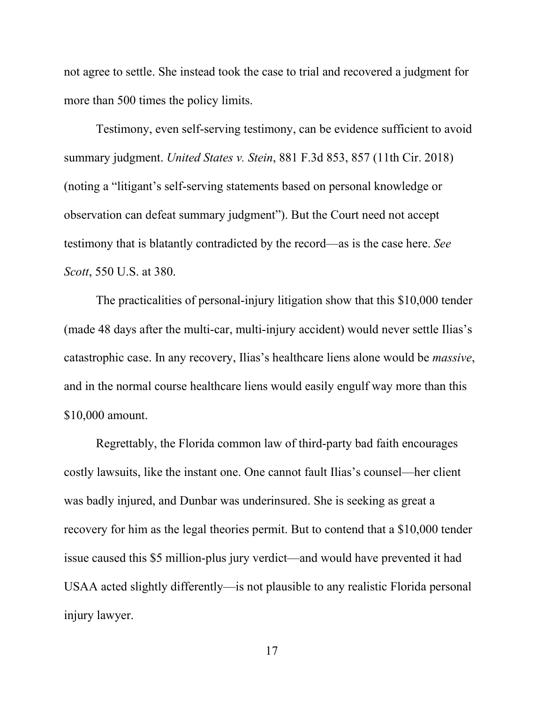not agree to settle. She instead took the case to trial and recovered a judgment for more than 500 times the policy limits.

Testimony, even self-serving testimony, can be evidence sufficient to avoid summary judgment. *United States v. Stein*, 881 F.3d 853, 857 (11th Cir. 2018) (noting a "litigant's self-serving statements based on personal knowledge or observation can defeat summary judgment"). But the Court need not accept testimony that is blatantly contradicted by the record—as is the case here. *See Scott*, 550 U.S. at 380.

The practicalities of personal-injury litigation show that this \$10,000 tender (made 48 days after the multi-car, multi-injury accident) would never settle Ilias's catastrophic case. In any recovery, Ilias's healthcare liens alone would be *massive*, and in the normal course healthcare liens would easily engulf way more than this \$10,000 amount.

Regrettably, the Florida common law of third-party bad faith encourages costly lawsuits, like the instant one. One cannot fault Ilias's counsel—her client was badly injured, and Dunbar was underinsured. She is seeking as great a recovery for him as the legal theories permit. But to contend that a \$10,000 tender issue caused this \$5 million-plus jury verdict—and would have prevented it had USAA acted slightly differently—is not plausible to any realistic Florida personal injury lawyer.

17